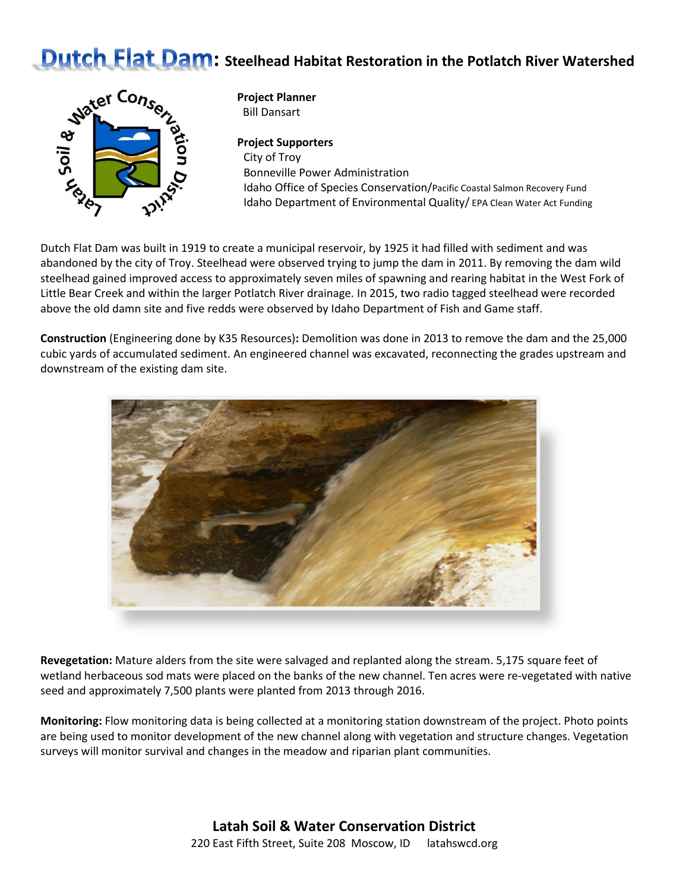## **Dutch Flat Dam:** Steelhead Habitat Restoration in the Potlatch River Watershed



**Project Planner** Bill Dansart

**Project Supporters** City of Troy Bonneville Power Administration Idaho Office of Species Conservation/Pacific Coastal Salmon Recovery Fund Idaho Department of Environmental Quality/ EPA Clean Water Act Funding

Dutch Flat Dam was built in 1919 to create a municipal reservoir, by 1925 it had filled with sediment and was abandoned by the city of Troy. Steelhead were observed trying to jump the dam in 2011. By removing the dam wild steelhead gained improved access to approximately seven miles of spawning and rearing habitat in the West Fork of Little Bear Creek and within the larger Potlatch River drainage. In 2015, two radio tagged steelhead were recorded above the old damn site and five redds were observed by Idaho Department of Fish and Game staff.

**Construction** (Engineering done by K35 Resources)**:** Demolition was done in 2013 to remove the dam and the 25,000 cubic yards of accumulated sediment. An engineered channel was excavated, reconnecting the grades upstream and downstream of the existing dam site.



**Revegetation:** Mature alders from the site were salvaged and replanted along the stream. 5,175 square feet of wetland herbaceous sod mats were placed on the banks of the new channel. Ten acres were re-vegetated with native seed and approximately 7,500 plants were planted from 2013 through 2016.

**Monitoring:** Flow monitoring data is being collected at a monitoring station downstream of the project. Photo points are being used to monitor development of the new channel along with vegetation and structure changes. Vegetation surveys will monitor survival and changes in the meadow and riparian plant communities.